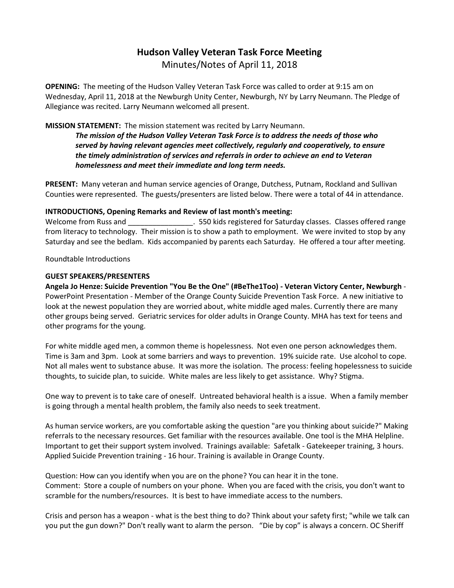# **Hudson Valley Veteran Task Force Meeting**  Minutes/Notes of April 11, 2018

**OPENING:** The meeting of the Hudson Valley Veteran Task Force was called to order at 9:15 am on Wednesday, April 11, 2018 at the Newburgh Unity Center, Newburgh, NY by Larry Neumann. The Pledge of Allegiance was recited. Larry Neumann welcomed all present.

## **MISSION STATEMENT:** The mission statement was recited by Larry Neumann.

*The mission of the Hudson Valley Veteran Task Force is to address the needs of those who served by having relevant agencies meet collectively, regularly and cooperatively, to ensure the timely administration of services and referrals in order to achieve an end to Veteran homelessness and meet their immediate and long term needs.* 

**PRESENT:** Many veteran and human service agencies of Orange, Dutchess, Putnam, Rockland and Sullivan Counties were represented. The guests/presenters are listed below. There were a total of 44 in attendance.

### **INTRODUCTIONS, Opening Remarks and Review of last month's meeting:**

Welcome from Russ and \_\_\_\_\_\_\_\_\_\_\_\_\_\_\_\_. 550 kids registered for Saturday classes. Classes offered range from literacy to technology. Their mission is to show a path to employment. We were invited to stop by any Saturday and see the bedlam. Kids accompanied by parents each Saturday. He offered a tour after meeting.

Roundtable Introductions

### **GUEST SPEAKERS/PRESENTERS**

**Angela Jo Henze: Suicide Prevention "You Be the One" (#BeThe1Too) - Veteran Victory Center, Newburgh** - PowerPoint Presentation - Member of the Orange County Suicide Prevention Task Force. A new initiative to look at the newest population they are worried about, white middle aged males. Currently there are many other groups being served. Geriatric services for older adults in Orange County. MHA has text for teens and other programs for the young.

For white middle aged men, a common theme is hopelessness. Not even one person acknowledges them. Time is 3am and 3pm. Look at some barriers and ways to prevention. 19% suicide rate. Use alcohol to cope. Not all males went to substance abuse. It was more the isolation. The process: feeling hopelessness to suicide thoughts, to suicide plan, to suicide. White males are less likely to get assistance. Why? Stigma.

One way to prevent is to take care of oneself. Untreated behavioral health is a issue. When a family member is going through a mental health problem, the family also needs to seek treatment.

As human service workers, are you comfortable asking the question "are you thinking about suicide?" Making referrals to the necessary resources. Get familiar with the resources available. One tool is the MHA Helpline. Important to get their support system involved. Trainings available: Safetalk - Gatekeeper training, 3 hours. Applied Suicide Prevention training - 16 hour. Training is available in Orange County.

Question: How can you identify when you are on the phone? You can hear it in the tone. Comment: Store a couple of numbers on your phone. When you are faced with the crisis, you don't want to scramble for the numbers/resources. It is best to have immediate access to the numbers.

Crisis and person has a weapon - what is the best thing to do? Think about your safety first; "while we talk can you put the gun down?" Don't really want to alarm the person. "Die by cop" is always a concern. OC Sheriff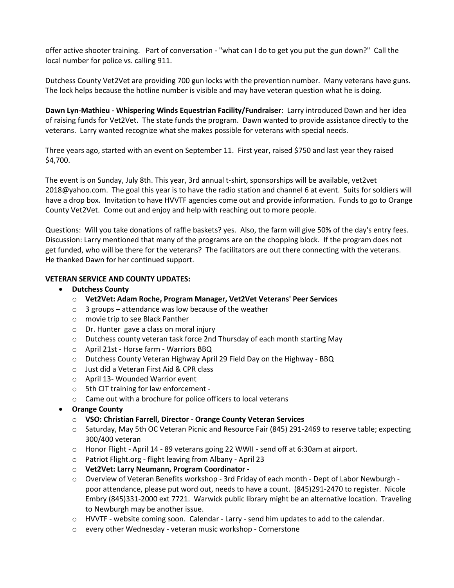offer active shooter training. Part of conversation - "what can I do to get you put the gun down?" Call the local number for police vs. calling 911.

Dutchess County Vet2Vet are providing 700 gun locks with the prevention number. Many veterans have guns. The lock helps because the hotline number is visible and may have veteran question what he is doing.

**Dawn Lyn-Mathieu - Whispering Winds Equestrian Facility/Fundraiser**: Larry introduced Dawn and her idea of raising funds for Vet2Vet. The state funds the program. Dawn wanted to provide assistance directly to the veterans. Larry wanted recognize what she makes possible for veterans with special needs.

Three years ago, started with an event on September 11. First year, raised \$750 and last year they raised \$4,700.

The event is on Sunday, July 8th. This year, 3rd annual t-shirt, sponsorships will be available, vet2vet 2018@yahoo.com. The goal this year is to have the radio station and channel 6 at event. Suits for soldiers will have a drop box. Invitation to have HVVTF agencies come out and provide information. Funds to go to Orange County Vet2Vet. Come out and enjoy and help with reaching out to more people.

Questions: Will you take donations of raffle baskets? yes. Also, the farm will give 50% of the day's entry fees. Discussion: Larry mentioned that many of the programs are on the chopping block. If the program does not get funded, who will be there for the veterans? The facilitators are out there connecting with the veterans. He thanked Dawn for her continued support.

### **VETERAN SERVICE AND COUNTY UPDATES:**

- **Dutchess County**
	- o **Vet2Vet: Adam Roche, Program Manager, Vet2Vet Veterans' Peer Services**
	- $\circ$  3 groups attendance was low because of the weather
	- o movie trip to see Black Panther
	- o Dr. Hunter gave a class on moral injury
	- o Dutchess county veteran task force 2nd Thursday of each month starting May
	- o April 21st Horse farm Warriors BBQ
	- o Dutchess County Veteran Highway April 29 Field Day on the Highway BBQ
	- o Just did a Veteran First Aid & CPR class
	- o April 13- Wounded Warrior event
	- o 5th CIT training for law enforcement -
	- o Came out with a brochure for police officers to local veterans
- **Orange County**
	- o **VSO: Christian Farrell, Director - Orange County Veteran Services**
	- o Saturday, May 5th OC Veteran Picnic and Resource Fair (845) 291-2469 to reserve table; expecting 300/400 veteran
	- o Honor Flight April 14 89 veterans going 22 WWII send off at 6:30am at airport.
	- o Patriot Flight.org flight leaving from Albany April 23
	- o **Vet2Vet: Larry Neumann, Program Coordinator -**
	- o Overview of Veteran Benefits workshop 3rd Friday of each month Dept of Labor Newburgh poor attendance, please put word out, needs to have a count. (845)291-2470 to register. Nicole Embry (845)331-2000 ext 7721. Warwick public library might be an alternative location. Traveling to Newburgh may be another issue.
	- o HVVTF website coming soon. Calendar Larry send him updates to add to the calendar.
	- o every other Wednesday veteran music workshop Cornerstone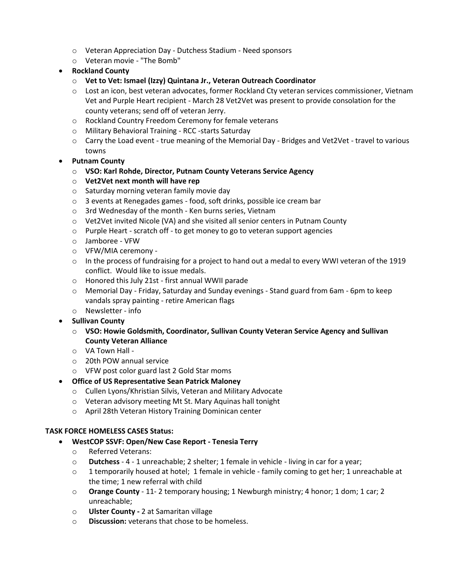- o Veteran Appreciation Day Dutchess Stadium Need sponsors
- o Veteran movie "The Bomb"
- **Rockland County**
	- o **Vet to Vet: Ismael (Izzy) Quintana Jr., Veteran Outreach Coordinator**
	- o Lost an icon, best veteran advocates, former Rockland Cty veteran services commissioner, Vietnam Vet and Purple Heart recipient - March 28 Vet2Vet was present to provide consolation for the county veterans; send off of veteran Jerry.
	- o Rockland Country Freedom Ceremony for female veterans
	- o Military Behavioral Training RCC -starts Saturday
	- $\circ$  Carry the Load event true meaning of the Memorial Day Bridges and Vet2Vet travel to various towns
- **Putnam County**
	- o **VSO: Karl Rohde, Director, Putnam County Veterans Service Agency**
	- o **Vet2Vet next month will have rep**
	- o Saturday morning veteran family movie day
	- o 3 events at Renegades games food, soft drinks, possible ice cream bar
	- o 3rd Wednesday of the month Ken burns series, Vietnam
	- o Vet2Vet invited Nicole (VA) and she visited all senior centers in Putnam County
	- o Purple Heart scratch off to get money to go to veteran support agencies
	- o Jamboree VFW
	- o VFW/MIA ceremony -
	- o In the process of fundraising for a project to hand out a medal to every WWI veteran of the 1919 conflict. Would like to issue medals.
	- o Honored this July 21st first annual WWII parade
	- o Memorial Day Friday, Saturday and Sunday evenings Stand guard from 6am 6pm to keep vandals spray painting - retire American flags
	- o Newsletter info
- **Sullivan County**
	- o **VSO: Howie Goldsmith, Coordinator, Sullivan County Veteran Service Agency and Sullivan County Veteran Alliance**
	- o VA Town Hall -
	- o 20th POW annual service
	- o VFW post color guard last 2 Gold Star moms
- **Office of US Representative Sean Patrick Maloney**
	- o Cullen Lyons/Khristian Silvis, Veteran and Military Advocate
	- o Veteran advisory meeting Mt St. Mary Aquinas hall tonight
	- o April 28th Veteran History Training Dominican center

### **TASK FORCE HOMELESS CASES Status:**

- **WestCOP SSVF: Open/New Case Report - Tenesia Terry**
	- o Referred Veterans:
	- o **Dutchess** 4 1 unreachable; 2 shelter; 1 female in vehicle living in car for a year;
	- o 1 temporarily housed at hotel; 1 female in vehicle family coming to get her; 1 unreachable at the time; 1 new referral with child
	- o **Orange County** 11- 2 temporary housing; 1 Newburgh ministry; 4 honor; 1 dom; 1 car; 2 unreachable;
	- o **Ulster County -** 2 at Samaritan village
	- o **Discussion:** veterans that chose to be homeless.